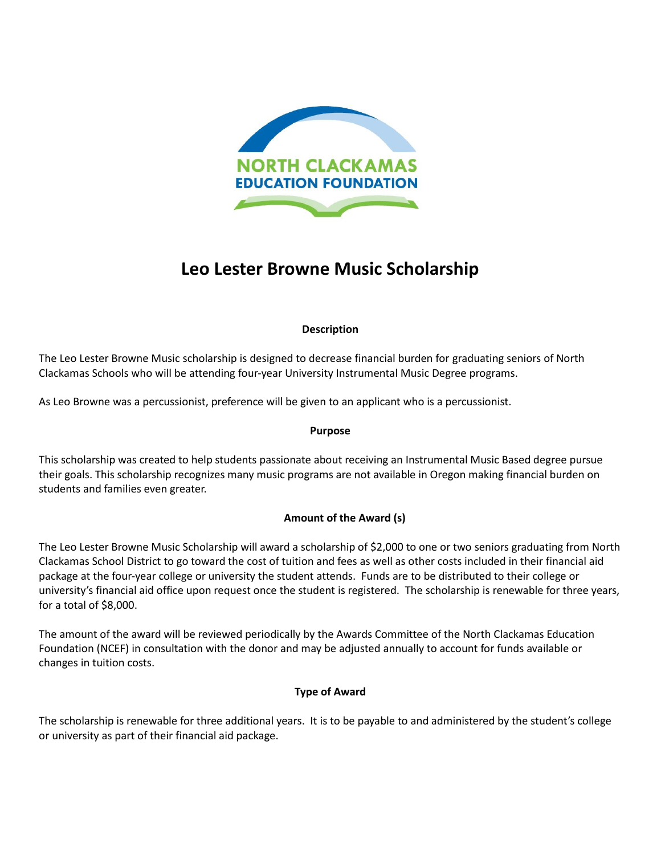

# **Leo Lester Browne Music Scholarship**

# **Description**

The Leo Lester Browne Music scholarship is designed to decrease financial burden for graduating seniors of North Clackamas Schools who will be attending four-year University Instrumental Music Degree programs.

As Leo Browne was a percussionist, preference will be given to an applicant who is a percussionist.

## **Purpose**

This scholarship was created to help students passionate about receiving an Instrumental Music Based degree pursue their goals. This scholarship recognizes many music programs are not available in Oregon making financial burden on students and families even greater.

# **Amount of the Award (s)**

The Leo Lester Browne Music Scholarship will award a scholarship of \$2,000 to one or two seniors graduating from North Clackamas School District to go toward the cost of tuition and fees as well as other costs included in their financial aid package at the four-year college or university the student attends. Funds are to be distributed to their college or university's financial aid office upon request once the student is registered. The scholarship is renewable for three years, for a total of \$8,000.

The amount of the award will be reviewed periodically by the Awards Committee of the North Clackamas Education Foundation (NCEF) in consultation with the donor and may be adjusted annually to account for funds available or changes in tuition costs.

# **Type of Award**

The scholarship is renewable for three additional years. It is to be payable to and administered by the student's college or university as part of their financial aid package.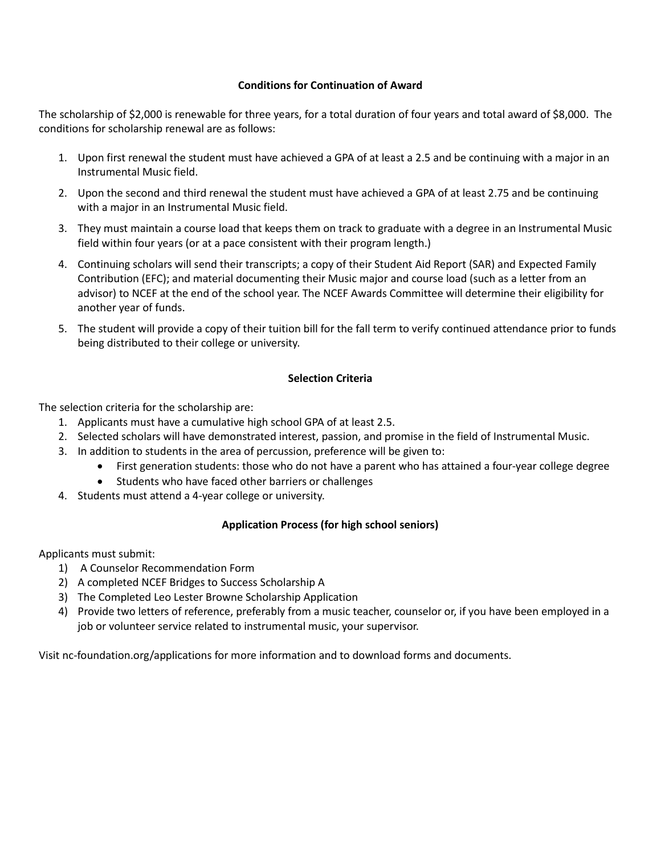#### **Conditions for Continuation of Award**

The scholarship of \$2,000 is renewable for three years, for a total duration of four years and total award of \$8,000. The conditions for scholarship renewal are as follows:

- 1. Upon first renewal the student must have achieved a GPA of at least a 2.5 and be continuing with a major in an Instrumental Music field.
- 2. Upon the second and third renewal the student must have achieved a GPA of at least 2.75 and be continuing with a major in an Instrumental Music field.
- 3. They must maintain a course load that keeps them on track to graduate with a degree in an Instrumental Music field within four years (or at a pace consistent with their program length.)
- 4. Continuing scholars will send their transcripts; a copy of their Student Aid Report (SAR) and Expected Family Contribution (EFC); and material documenting their Music major and course load (such as a letter from an advisor) to NCEF at the end of the school year. The NCEF Awards Committee will determine their eligibility for another year of funds.
- 5. The student will provide a copy of their tuition bill for the fall term to verify continued attendance prior to funds being distributed to their college or university.

### **Selection Criteria**

The selection criteria for the scholarship are:

- 1. Applicants must have a cumulative high school GPA of at least 2.5.
- 2. Selected scholars will have demonstrated interest, passion, and promise in the field of Instrumental Music.
- 3. In addition to students in the area of percussion, preference will be given to:
	- First generation students: those who do not have a parent who has attained a four-year college degree
	- Students who have faced other barriers or challenges
- 4. Students must attend a 4-year college or university.

## **Application Process (for high school seniors)**

Applicants must submit:

- 1) A Counselor Recommendation Form
- 2) A completed NCEF Bridges to Success Scholarship A
- 3) The Completed Leo Lester Browne Scholarship Application
- 4) Provide two letters of reference, preferably from a music teacher, counselor or, if you have been employed in a job or volunteer service related to instrumental music, your supervisor.

Visit nc-foundation.org/applications for more information and to download forms and documents.